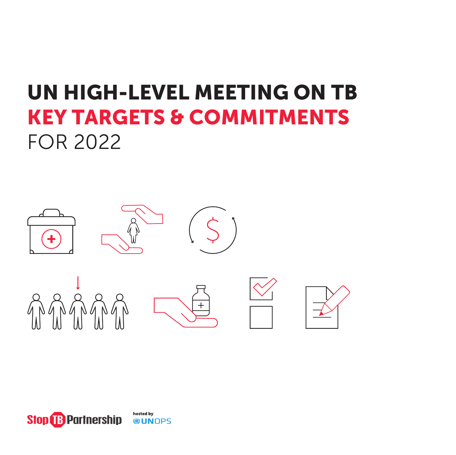# UN HIGH-LEVEL MEETING ON TB KEY TARGETS & COMMITMENTS FOR 2022



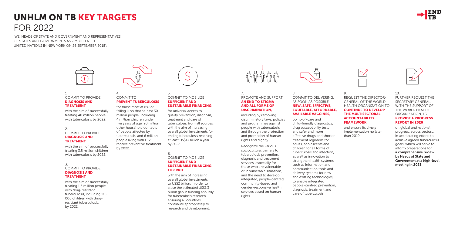# UNHLM ON TB KEY TARGETS FOR 2022

'WE, HEADS OF STATE AND GOVERNMENT AND REPRESENTATIVES OF STATES AND GOVERNMENTS ASSEMBLED AT THE UNITED NATIONS IN NEW YORK ON 26 SEPTEMBER 2018':



# 1. COMMIT TO PROVIDE DIAGNOSIS AND TREATMENT

with the aim of successfully treating 40 million people with tuberculosis by 2022.

# 2.

# COMMIT TO PROVIDE DIAGNOSIS AND TREATMENT

with the aim of successfully treating 3.5 million children with tuberculosis by 2022.

## 3. COMMIT TO PROVIDE DIAGNOSIS AND

# TREATMENT

with the aim of successfully treating 1.5 million people with drug-resistant tuberculosis, including 115 000 children with drugresistant tuberculosis, by 2022.



4.

# COMMIT TO PREVENT TUBERCULOSIS

for those most at risk of falling ill so that at least 30 million people, including 4 million children under five years of age, 20 million other household contacts of people affected by tuberculosis, and 6 million people living with HIV, receive preventive treatment by 2022.

## 5. COMMIT TO MOBILIZE SUFFICIENT AND SUSTAINABLE FINANCING

for universal access to quality prevention, diagnosis, treatment and care of tuberculosis, from all sources, with the aim of increasing overall global investments for ending tuberculosis reaching at least US\$13 billion a year by 2022.

# 6. COMMIT TO MOBILIZE SUFFICIENT AND SUSTAINABLE FINANCING

FOR R&D

with the aim of increasing overall global investments to US\$2 billion, in order to close the estimated US\$1.3 billion gap in funding annually for tuberculosis research, ensuring all countries contribute appropriately to research and development.



# 7. PROMOTE AND SUPPORT AN END TO STIGMA AND ALL FORMS OF DISCRIMINATION,

including by removing discriminatory laws, policies and programmes against people with tuberculosis, and through the protection and promotion of human rights and dignity.

Recognize the various sociocultural barriers to tuberculosis prevention, diagnosis and treatment services, especially for those who are vulnerable or in vulnerable situations, and the need to develop integrated, people-centred, community-based and gender-responsive health services based on human rights.



# 8. COMMIT TO DELIVERING, AS SOON AS POSSIBLE, NEW, SAFE, EFFECTIVE, EQUITABLE, AFFORDABLE, AVAILABLE VACCINES,

point-of-care and child-friendly diagnostics, drug susceptibility tests and safer and more effective drugs and shorter treatment regimens for adults, adolescents and children for all forms of tuberculosis and infection, as well as innovation to strengthen health systems such as information and communication tools and delivery systems for new and existing technologies, to enable integrated people-centred prevention, diagnosis, treatment and care of tuberculosis.





# 9.

REQUEST THE DIRECTOR-GENERAL OF THE WORLD HEALTH ORGANIZATION TO CONTINUE TO DEVELOP THE MULTISECTORAL **ACCOUNTABILITY** FRAMEWORK

and ensure its timely implementation no later than 2019.



10.

FURTHER REQUEST THE SECRETARY GENERAL, WITH THE SUPPORT OF THE WORLD HEALTH ORGANIZATION, TO PROVIDE A PROGRESS REPORT IN 2020

on global and national progress, across sectors, in accelerating efforts to achieve agreed tuberculosis goals, which will serve to inform preparations for a comprehensive review by Heads of State and Government at a high-level meeting in 2023.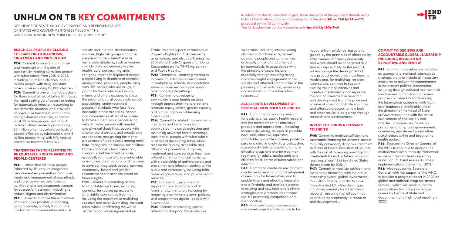## REACH ALL PEOPLE BY CLOSING THE GAPS ON TB DIAGNOSIS, TREATMENT AND PREVENTION

**P24:** 'Commit to providing diagnosis and treatment with the aim of successfully treating 40 million people with tuberculosis from 2018 to 2022, including 3.5 million children, and 1.5 million people with drug-resistant tuberculosis including 115,000 children…' P25: 'Commit to preventing tuberculosis for those most at risk of falling ill through the rapid scaling up of access to testing for tuberculosis infection, according to the domestic situation, and provision of preventive treatment, with a focus on high-burden countries, so that at least 30 million people, including 4 million children under 5 years of age, 20 million other household contacts of people affected by tuberculosis, and 6 million people living with HIV, receive preventive treatment by 2022…'

# TRANSFORM THE TB RESPONSE TO BE EQUITABLE, RIGHTS-BASED AND PEOPLE-CENTERED

P14: '…affirm that all these people [affected by TB] require integrated people-centred prevention, diagnosis, treatment, management of side effects, and care, as well as psychosocial, nutritional and socioeconomic support for successful treatment, including to reduce stigma and discrimination.' **P17:** '...in order to make the elimination of tuberculosis possible, prioritizing, as appropriate, notably through the involvement of communities and civil

**P19:** 'Commit to promoting access to affordable medicines, including generics, for scaling up access to affordable tuberculosis treatment, including the treatment of multidrugresistant and extensively drug-resistant tuberculosis, reaffirming the World Trade Organization Agreement on

P25: 'Commit to... enacting measures to prevent tuberculosis transmission in workplaces, schools, transportation systems, incarceration systems and other congregate settings.' P33: 'Commit to developing

society and in a non-discriminatory manner, high-risk groups and other people who are vulnerable or in vulnerable situations, such as women and children, indigenous peoples, health-care workers, migrants, refugees, internally displaced people, people living in situations of complex emergencies, prisoners, people living with HIV, people who use drugs, in particular those who inject drugs, miners and others exposed to silica, the urban and rural poor, underserved populations, undernourished people, individuals who face food insecurity, ethnic minorities, people and communities at risk of exposure to bovine tuberculosis, people living with diabetes, people with mental and physical disabilities, people with alcohol use disorders, and people who use tobacco, recognizing the higher prevalence of tuberculosis among men.' **P18:** 'Recognize the various sociocultural barriers to tuberculosis prevention, diagnosis and treatment services, especially for those who are vulnerable or in vulnerable situations, and the need to develop integrated, people-centred, community-based and genderresponsive health services based on human rights.'

**P34:** 'Commit to related improvements in policies and systems on each country's path towards achieving and sustaining universal health coverage, such that all people with tuberculosis or at risk of developing tuberculosis receive the quality, accessible and affordable prevention, diagnosis, treatment and care services they need without suffering financial hardship, with stewardship of antimicrobials and prevention and infection control, within public and community, including faithbased organizations, and private sector services.'

**P38:** 'Commit to providing special attention to the poor, those who are In addition to the ten headline targets, these are some of the key commitments in the Political Declaration, arouped accordina to the Key Asks (https://bit.ly/2AixuCY) proposed by the TB community. The full Declaration can be viewed here: https://bit.ly/2OylPnA

Trade-Related Aspects of Intellectual Property Rights (TRIPS Agreement), as amended, and also reaffirming the 2001 World Trade Organization Doha Declaration on the TRIPS Agreement and Public Health…'

community-based health services through approaches that protect and promote equity, ethics, gender equality and human rights in addressing tuberculosis…'

P48: 'Commit to develop or strengthen, as appropriate, national tuberculosis strategic plans to include all necessary measures to deliver the commitments in the present political declaration, including through national multisectoral mechanisms to monitor and review progress achieved towards ending the tuberculosis epidemic, with highlevel leadership, preferably under the direction of the Head of State or Government, and with the active involvement of civil society and affected communities, as well as parliamentarians, local governments, academia, private sector and other stakeholders within and beyond the health sector…'

P37: 'Commit to… promote and support an end to stigma and all forms of discrimination, including by removing discriminatory laws, policies and programmes against people with tuberculosis…'

# UNHLM ON TB KEY COMMITMENTS

**P49:** 'Request the Director General of the WHO to continue to develop the multisectoral accountability framework in line with World Health Assembly resolution 71.3 and ensure its timely implementation no later than 2019.' P53: 'Also request the Secretary-General, with the support of the WHO, to provide a progress report in 2020 on global and national progress, across sectors… which will serve to inform preparations for a comprehensive review by Heads of State and Government at a high-level meeting in 2023.'

'WE, HEADS OF STATE AND GOVERNMENT AND REPRESENTATIVES OF STATES AND GOVERNMENTS ASSEMBLED AT THE UNITED NATIONS IN NEW YORK ON 26 SEPTEMBER 2018':

> vulnerable, including infants, young children and adolescents, as well as elderly people and communities especially at risk of and affected by tuberculosis, in accordance with the principle of social inclusion, especially through ensuring strong and meaningful engagement of civil society and affected communities in the planning, implementation, monitoring and evaluation of the tuberculosis response…'

# ACCELERATE DEVELOPMENT OF ESSENTIAL NEW TOOLS TO END TB

P42: 'Commit to advancing research for basic science, public health research and the development of innovative products and approaches… including towards delivering, as soon as possible, new, safe, effective, equitable, affordable, available vaccines, point-ofcare and child-friendly diagnostics, drug susceptibility tests and safer and more effective drugs and shorter treatment regimens for adults, adolescents and children for all forms of tuberculosis and infection…'

P43: 'Commit to create an environment conducive to research and development of new tools for tuberculosis, and to enable timely and effective innovation and affordable and available access to existing and new tools and delivery strategies and promote their proper use, by promoting competition and collaboration…'

P45: 'Promote tuberculosis research and development efforts aiming to be needs-driven, evidence-based and guided by the principles of affordability, effectiveness, efficiency and equity and which should be considered as a shared responsibility. In this regard, we encourage the development of new product development partnership models and, for multidrug-resistant tuberculosis, continue to support existing voluntary initiatives and incentive mechanisms that separate the cost of investment in research and development from the price and volume of sales, to facilitate equitable and affordable access to new tools and other results to be gained through research and development…'

# INVEST THE FUNDS NECESSARY TO END TB

P46: 'Commit to mobilize sufficient and sustainable financing for universal access to quality prevention, diagnosis, treatment and care of tuberculosis, from all sources, with the aim of increasing overall global investments for ending tuberculosis and reaching at least 13 billion United States dollars a year by 2022…' P47: 'Commit to mobilize sufficient and sustainable financing, with the aim of increasing overall global investments to 2 billion dollars, in order to close the estimated 1.3 billion dollar gap in funding annually for tuberculosis research, ensuring that all countries contribute appropriately to research and development…'



# COMMIT TO DECISIVE AND ACCOUNTABLE GLOBAL LEADERSHIP INCLUDING REGULAR UN REPORTING AND REVIEW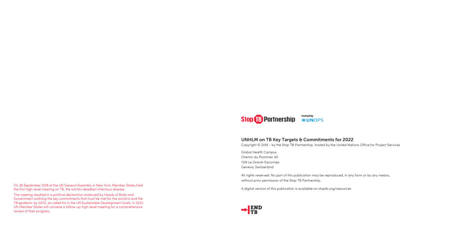On 26 September 2018 at the UN General Assembly in New York, Member States held the first high-level meeting on TB, the world's deadliest infectious disease.

The meeting resulted in a political declaration endorsed by Heads of State and Government outlining the key commitments that must be met for the world to end the TB epidemic by 2030, as called for in the UN Sustainable Development Goals. In 2023 UN Member States will convene a follow-up high-level meeting for a comprehensive review of their progress.



# UNHLM on TB Key Targets & Commitments for 2022

Copyright © 2018 - by the Stop TB Partnership, hosted by the United Nations Office for Project Services

Global Health Campus Chemin du Pommier 40 1218 Le Grand-Saconnex Geneva, Switzerland

All rights reserved. No part of this publication may be reproduced, in any form or by any means, without prior permission of the Stop TB Partnership.

A digital version of this publication is available on stoptb.org/resources